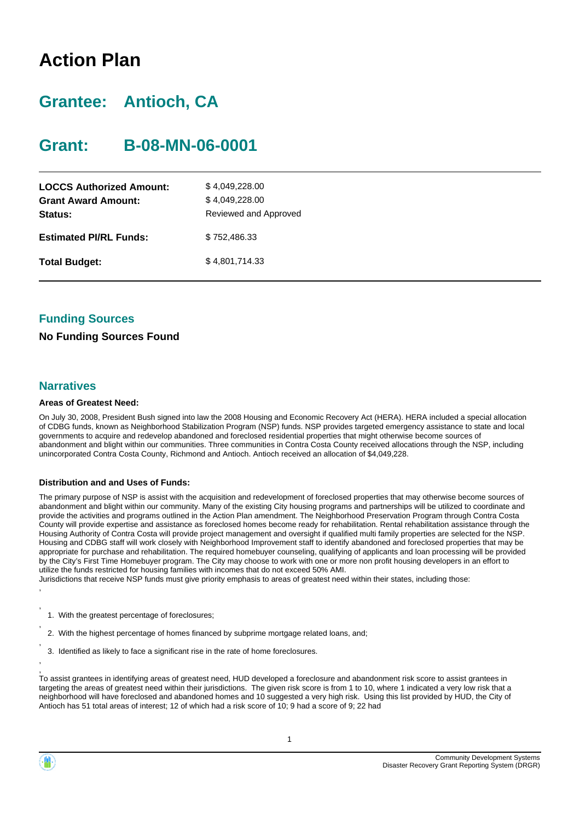# **Action Plan**

# **Grantee: Antioch, CA**

## **Grant: B-08-MN-06-0001**

| <b>LOCCS Authorized Amount:</b><br><b>Grant Award Amount:</b><br>Status: | \$4,049,228.00<br>\$4,049,228.00<br>Reviewed and Approved |
|--------------------------------------------------------------------------|-----------------------------------------------------------|
| <b>Estimated PI/RL Funds:</b>                                            | \$752,486,33                                              |
| <b>Total Budget:</b>                                                     | \$4,801,714.33                                            |

### **Funding Sources**

### **No Funding Sources Found**

### **Narratives**

#### **Areas of Greatest Need:**

On July 30, 2008, President Bush signed into law the 2008 Housing and Economic Recovery Act (HERA). HERA included a special allocation of CDBG funds, known as Neighborhood Stabilization Program (NSP) funds. NSP provides targeted emergency assistance to state and local governments to acquire and redevelop abandoned and foreclosed residential properties that might otherwise become sources of abandonment and blight within our communities. Three communities in Contra Costa County received allocations through the NSP, including unincorporated Contra Costa County, Richmond and Antioch. Antioch received an allocation of \$4,049,228.

#### **Distribution and and Uses of Funds:**

The primary purpose of NSP is assist with the acquisition and redevelopment of foreclosed properties that may otherwise become sources of abandonment and blight within our community. Many of the existing City housing programs and partnerships will be utilized to coordinate and provide the activities and programs outlined in the Action Plan amendment. The Neighborhood Preservation Program through Contra Costa County will provide expertise and assistance as foreclosed homes become ready for rehabilitation. Rental rehabilitation assistance through the Housing Authority of Contra Costa will provide project management and oversight if qualified multi family properties are selected for the NSP. Housing and CDBG staff will work closely with Neighborhood Improvement staff to identify abandoned and foreclosed properties that may be appropriate for purchase and rehabilitation. The required homebuyer counseling, qualifying of applicants and loan processing will be provided by the City's First Time Homebuyer program. The City may choose to work with one or more non profit housing developers in an effort to utilize the funds restricted for housing families with incomes that do not exceed 50% AMI.

Jurisdictions that receive NSP funds must give priority emphasis to areas of greatest need within their states, including those: ,

- 1. With the greatest percentage of foreclosures;
- 2. With the highest percentage of homes financed by subprime mortgage related loans, and;
- 3. Identified as likely to face a significant rise in the rate of home foreclosures.

, To assist grantees in identifying areas of greatest need, HUD developed a foreclosure and abandonment risk score to assist grantees in targeting the areas of greatest need within their jurisdictions. The given risk score is from 1 to 10, where 1 indicated a very low risk that a neighborhood will have foreclosed and abandoned homes and 10 suggested a very high risk. Using this list provided by HUD, the City of Antioch has 51 total areas of interest; 12 of which had a risk score of 10; 9 had a score of 9; 22 had



,

,

,

,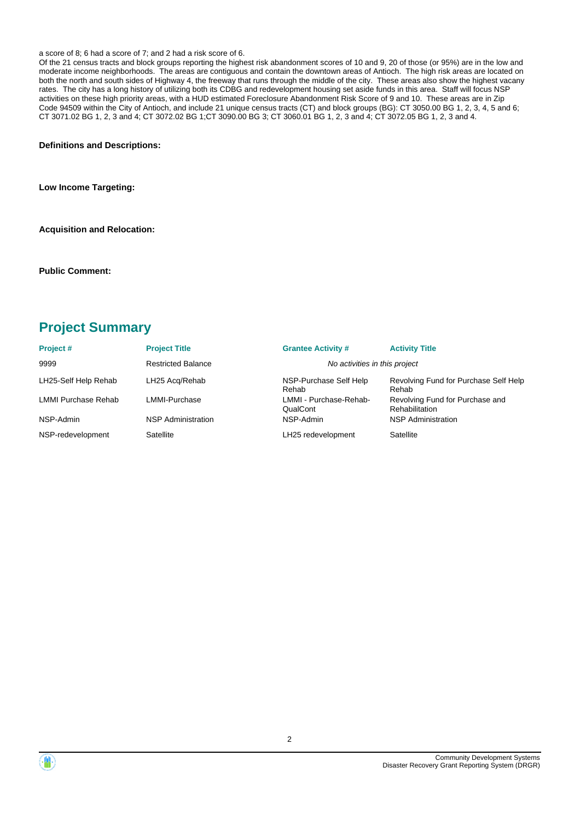#### a score of 8; 6 had a score of 7; and 2 had a risk score of 6.

Of the 21 census tracts and block groups reporting the highest risk abandonment scores of 10 and 9, 20 of those (or 95%) are in the low and moderate income neighborhoods. The areas are contiguous and contain the downtown areas of Antioch. The high risk areas are located on both the north and south sides of Highway 4, the freeway that runs through the middle of the city. These areas also show the highest vacany rates. The city has a long history of utilizing both its CDBG and redevelopment housing set aside funds in this area. Staff will focus NSP activities on these high priority areas, with a HUD estimated Foreclosure Abandonment Risk Score of 9 and 10. These areas are in Zip Code 94509 within the City of Antioch, and include 21 unique census tracts (CT) and block groups (BG): CT 3050.00 BG 1, 2, 3, 4, 5 and 6; CT 3071.02 BG 1, 2, 3 and 4; CT 3072.02 BG 1;CT 3090.00 BG 3; CT 3060.01 BG 1, 2, 3 and 4; CT 3072.05 BG 1, 2, 3 and 4.

**Definitions and Descriptions:**

**Low Income Targeting:**

**Acquisition and Relocation:**

**Public Comment:**

### **Project Summary**

| Project#             | <b>Project Title</b>      | <b>Grantee Activity #</b>          | <b>Activity Title</b>                             |
|----------------------|---------------------------|------------------------------------|---------------------------------------------------|
| 9999                 | <b>Restricted Balance</b> | No activities in this project      |                                                   |
| LH25-Self Help Rehab | LH25 Acg/Rehab            | NSP-Purchase Self Help<br>Rehab    | Revolving Fund for Purchase Self Help<br>Rehab    |
| LMMI Purchase Rehab  | LMMI-Purchase             | LMMI - Purchase-Rehab-<br>QualCont | Revolving Fund for Purchase and<br>Rehabilitation |
| NSP-Admin            | <b>NSP Administration</b> | NSP-Admin                          | <b>NSP Administration</b>                         |
| NSP-redevelopment    | Satellite                 | LH25 redevelopment                 | Satellite                                         |



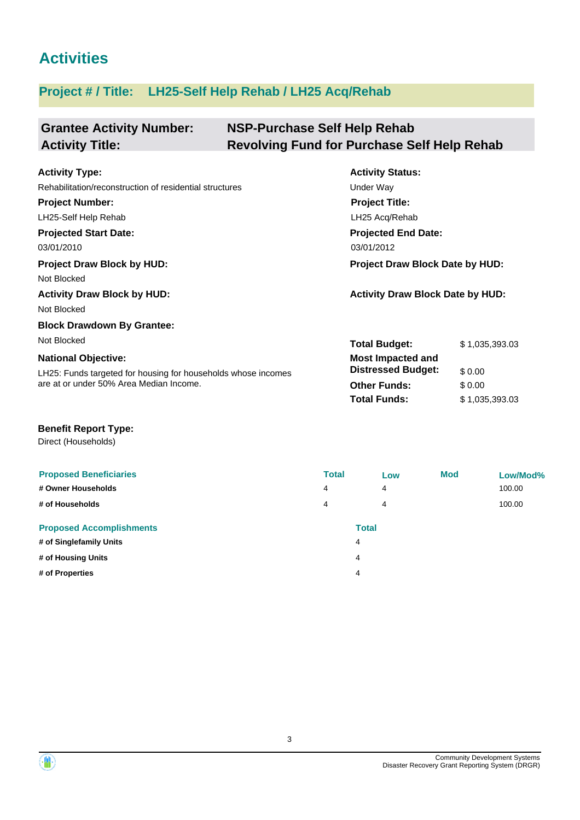## **Activities**

### **Project # / Title: LH25-Self Help Rehab / LH25 Acq/Rehab**

#### **Grantee Activity Number: NSP-Purchase Self Help Rehab Activity Title: Revolving Fund for Purchase Self Help Rehab**

| <b>Activity Type:</b>                                         | <b>Activity Status:</b>                 |                |  |  |
|---------------------------------------------------------------|-----------------------------------------|----------------|--|--|
| Rehabilitation/reconstruction of residential structures       | Under Way                               |                |  |  |
| <b>Project Number:</b>                                        | <b>Project Title:</b>                   |                |  |  |
| LH25-Self Help Rehab                                          | LH25 Acq/Rehab                          |                |  |  |
| <b>Projected Start Date:</b>                                  | <b>Projected End Date:</b>              |                |  |  |
| 03/01/2010                                                    | 03/01/2012                              |                |  |  |
| <b>Project Draw Block by HUD:</b>                             | Project Draw Block Date by HUD:         |                |  |  |
| Not Blocked                                                   |                                         |                |  |  |
| <b>Activity Draw Block by HUD:</b>                            | <b>Activity Draw Block Date by HUD:</b> |                |  |  |
| Not Blocked                                                   |                                         |                |  |  |
| <b>Block Drawdown By Grantee:</b>                             |                                         |                |  |  |
| Not Blocked                                                   | <b>Total Budget:</b>                    | \$1,035,393.03 |  |  |
| <b>National Objective:</b>                                    | <b>Most Impacted and</b>                |                |  |  |
| LH25: Funds targeted for housing for households whose incomes | <b>Distressed Budget:</b>               | \$0.00         |  |  |
| are at or under 50% Area Median Income.                       | <b>Other Funds:</b>                     | \$0.00         |  |  |

### **Benefit Report Type:**

Direct (Households)

| <b>Proposed Beneficiaries</b><br># Owner Households<br># of Households | <b>Total</b><br>4<br>4 | Low<br>$\overline{4}$<br>4 | <b>Mod</b> | Low/Mod%<br>100.00<br>100.00 |
|------------------------------------------------------------------------|------------------------|----------------------------|------------|------------------------------|
| <b>Proposed Accomplishments</b>                                        |                        | <b>Total</b>               |            |                              |
| # of Singlefamily Units                                                |                        | 4                          |            |                              |
| # of Housing Units                                                     |                        | 4                          |            |                              |
| # of Properties                                                        |                        | 4                          |            |                              |

**Total Funds:** \$ 1,035,393.03

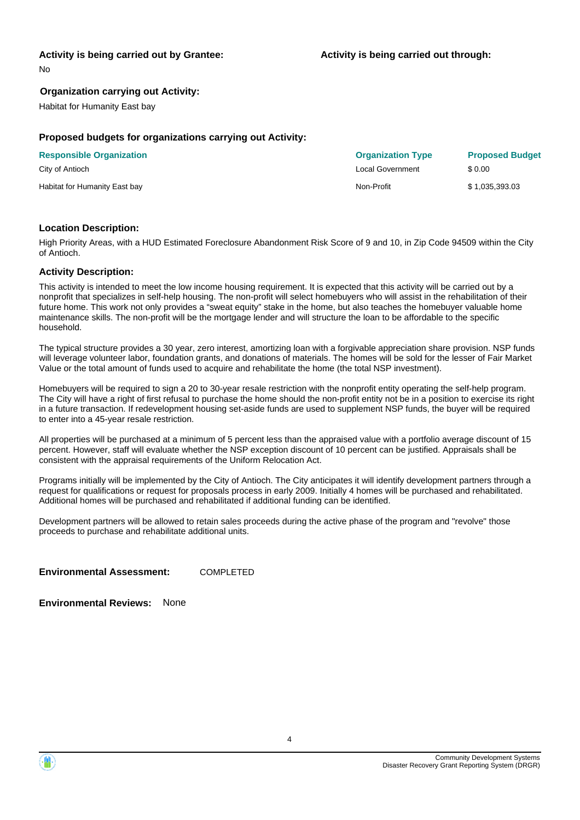### **Activity is being carried out by Grantee:**

No

### **Organization carrying out Activity:**

Habitat for Humanity East bay

### **Proposed budgets for organizations carrying out Activity:**

| <b>Responsible Organization</b> | <b>Organization Type</b> | <b>Proposed Budget</b> |
|---------------------------------|--------------------------|------------------------|
| City of Antioch                 | Local Government         | \$ 0.00                |
| Habitat for Humanity East bay   | Non-Profit               | \$1,035,393.03         |

### **Location Description:**

High Priority Areas, with a HUD Estimated Foreclosure Abandonment Risk Score of 9 and 10, in Zip Code 94509 within the City of Antioch.

#### **Activity Description:**

This activity is intended to meet the low income housing requirement. It is expected that this activity will be carried out by a nonprofit that specializes in self-help housing. The non-profit will select homebuyers who will assist in the rehabilitation of their future home. This work not only provides a "sweat equity" stake in the home, but also teaches the homebuyer valuable home maintenance skills. The non-profit will be the mortgage lender and will structure the loan to be affordable to the specific household.

The typical structure provides a 30 year, zero interest, amortizing loan with a forgivable appreciation share provision. NSP funds will leverage volunteer labor, foundation grants, and donations of materials. The homes will be sold for the lesser of Fair Market Value or the total amount of funds used to acquire and rehabilitate the home (the total NSP investment).

Homebuyers will be required to sign a 20 to 30-year resale restriction with the nonprofit entity operating the self-help program. The City will have a right of first refusal to purchase the home should the non-profit entity not be in a position to exercise its right in a future transaction. If redevelopment housing set-aside funds are used to supplement NSP funds, the buyer will be required to enter into a 45-year resale restriction.

All properties will be purchased at a minimum of 5 percent less than the appraised value with a portfolio average discount of 15 percent. However, staff will evaluate whether the NSP exception discount of 10 percent can be justified. Appraisals shall be consistent with the appraisal requirements of the Uniform Relocation Act.

Programs initially will be implemented by the City of Antioch. The City anticipates it will identify development partners through a request for qualifications or request for proposals process in early 2009. Initially 4 homes will be purchased and rehabilitated. Additional homes will be purchased and rehabilitated if additional funding can be identified.

Development partners will be allowed to retain sales proceeds during the active phase of the program and "revolve" those proceeds to purchase and rehabilitate additional units.

**Environmental Assessment:** COMPLETED

**Environmental Reviews:** None

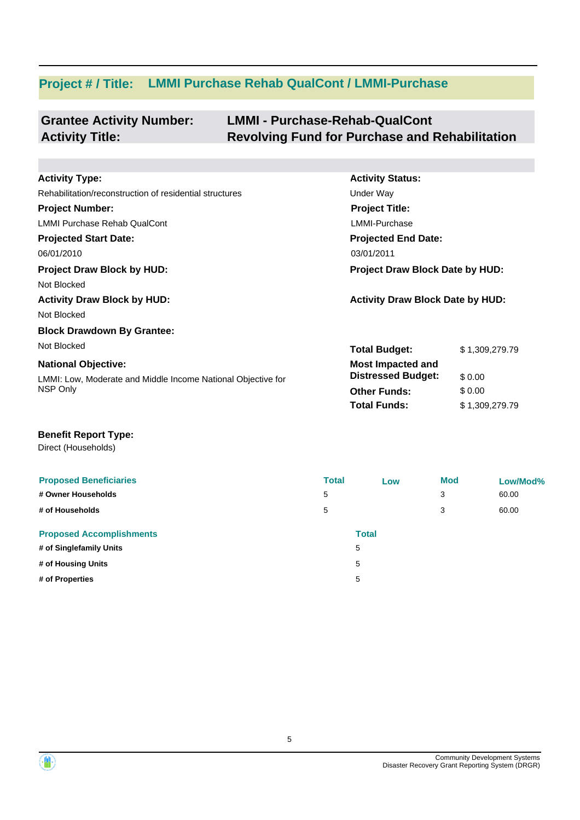# **Project # / Title: LMMI Purchase Rehab QualCont / LMMI-Purchase**

| <b>Grantee Activity Number:</b> | <b>LMMI - Purchase-Rehab-QualCont</b>                 |
|---------------------------------|-------------------------------------------------------|
| <b>Activity Title:</b>          | <b>Revolving Fund for Purchase and Rehabilitation</b> |

| <b>Activity Type:</b>                                        | <b>Activity Status:</b>                 |                |  |
|--------------------------------------------------------------|-----------------------------------------|----------------|--|
| Rehabilitation/reconstruction of residential structures      | Under Way                               |                |  |
| <b>Project Number:</b>                                       | <b>Project Title:</b>                   |                |  |
| <b>LMMI Purchase Rehab QualCont</b>                          | LMMI-Purchase                           |                |  |
| <b>Projected Start Date:</b>                                 | <b>Projected End Date:</b>              |                |  |
| 06/01/2010                                                   | 03/01/2011                              |                |  |
| <b>Project Draw Block by HUD:</b>                            | <b>Project Draw Block Date by HUD:</b>  |                |  |
| Not Blocked                                                  |                                         |                |  |
| <b>Activity Draw Block by HUD:</b>                           | <b>Activity Draw Block Date by HUD:</b> |                |  |
| Not Blocked                                                  |                                         |                |  |
| <b>Block Drawdown By Grantee:</b>                            |                                         |                |  |
| Not Blocked                                                  | <b>Total Budget:</b>                    | \$1,309,279.79 |  |
| <b>National Objective:</b>                                   | <b>Most Impacted and</b>                |                |  |
| LMMI: Low, Moderate and Middle Income National Objective for | <b>Distressed Budget:</b>               | \$0.00         |  |
| NSP Only                                                     | <b>Other Funds:</b>                     | \$0.00         |  |
|                                                              | <b>Total Funds:</b>                     | \$1,309,279.79 |  |

### **Benefit Report Type:**

Direct (Households)

| <b>Proposed Beneficiaries</b>   | <b>Total</b> | Low          | <b>Mod</b> | Low/Mod% |
|---------------------------------|--------------|--------------|------------|----------|
| # Owner Households              | 5            |              | 3          | 60.00    |
| # of Households                 | 5            |              | 3          | 60.00    |
| <b>Proposed Accomplishments</b> |              | <b>Total</b> |            |          |
| # of Singlefamily Units         |              | 5            |            |          |
| # of Housing Units              |              | 5            |            |          |
| # of Properties                 |              | 5            |            |          |

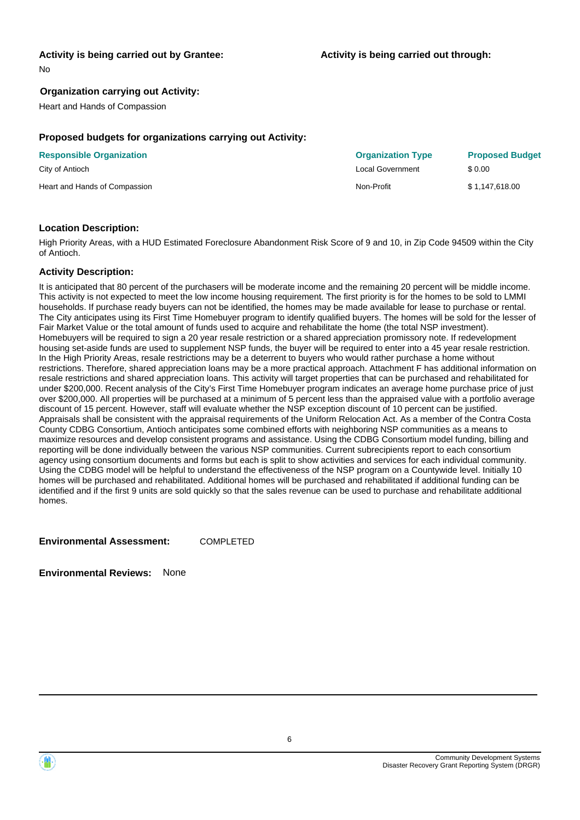### **Activity is being carried out by Grantee:**

No

### **Organization carrying out Activity:**

Heart and Hands of Compassion

### **Proposed budgets for organizations carrying out Activity:**

| <b>Responsible Organization</b> | <b>Organization Type</b> | <b>Proposed Budget</b> |
|---------------------------------|--------------------------|------------------------|
| City of Antioch                 | Local Government         | \$ 0.00                |
| Heart and Hands of Compassion   | Non-Profit               | \$1.147.618.00         |

### **Location Description:**

High Priority Areas, with a HUD Estimated Foreclosure Abandonment Risk Score of 9 and 10, in Zip Code 94509 within the City of Antioch.

#### **Activity Description:**

It is anticipated that 80 percent of the purchasers will be moderate income and the remaining 20 percent will be middle income. This activity is not expected to meet the low income housing requirement. The first priority is for the homes to be sold to LMMI households. If purchase ready buyers can not be identified, the homes may be made available for lease to purchase or rental. The City anticipates using its First Time Homebuyer program to identify qualified buyers. The homes will be sold for the lesser of Fair Market Value or the total amount of funds used to acquire and rehabilitate the home (the total NSP investment). Homebuyers will be required to sign a 20 year resale restriction or a shared appreciation promissory note. If redevelopment housing set-aside funds are used to supplement NSP funds, the buyer will be required to enter into a 45 year resale restriction. In the High Priority Areas, resale restrictions may be a deterrent to buyers who would rather purchase a home without restrictions. Therefore, shared appreciation loans may be a more practical approach. Attachment F has additional information on resale restrictions and shared appreciation loans. This activity will target properties that can be purchased and rehabilitated for under \$200,000. Recent analysis of the City's First Time Homebuyer program indicates an average home purchase price of just over \$200,000. All properties will be purchased at a minimum of 5 percent less than the appraised value with a portfolio average discount of 15 percent. However, staff will evaluate whether the NSP exception discount of 10 percent can be justified. Appraisals shall be consistent with the appraisal requirements of the Uniform Relocation Act. As a member of the Contra Costa County CDBG Consortium, Antioch anticipates some combined efforts with neighboring NSP communities as a means to maximize resources and develop consistent programs and assistance. Using the CDBG Consortium model funding, billing and reporting will be done individually between the various NSP communities. Current subrecipients report to each consortium agency using consortium documents and forms but each is split to show activities and services for each individual community. Using the CDBG model will be helpful to understand the effectiveness of the NSP program on a Countywide level. Initially 10 homes will be purchased and rehabilitated. Additional homes will be purchased and rehabilitated if additional funding can be identified and if the first 9 units are sold quickly so that the sales revenue can be used to purchase and rehabilitate additional homes.

**Environmental Assessment:** COMPLETED

**Environmental Reviews:** None



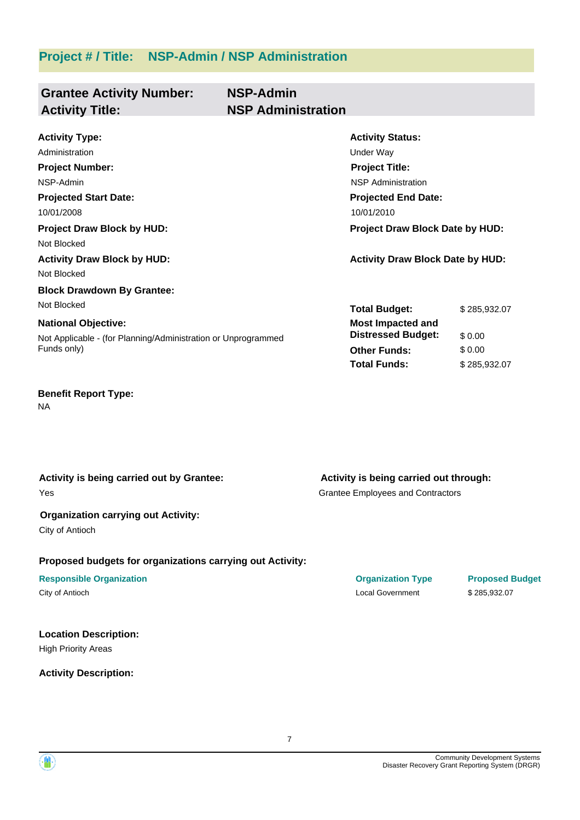**Project # / Title: NSP-Admin / NSP Administration**

| <b>Grantee Activity Number:</b><br><b>Activity Title:</b>     | <b>NSP-Admin</b><br><b>NSP Administration</b> |                                         |              |  |
|---------------------------------------------------------------|-----------------------------------------------|-----------------------------------------|--------------|--|
| <b>Activity Type:</b>                                         |                                               | <b>Activity Status:</b>                 |              |  |
| Administration                                                |                                               | Under Way                               |              |  |
| <b>Project Number:</b>                                        |                                               | <b>Project Title:</b>                   |              |  |
| NSP-Admin                                                     |                                               | <b>NSP Administration</b>               |              |  |
| <b>Projected Start Date:</b>                                  |                                               | <b>Projected End Date:</b>              |              |  |
| 10/01/2008                                                    |                                               | 10/01/2010                              |              |  |
| <b>Project Draw Block by HUD:</b>                             |                                               | <b>Project Draw Block Date by HUD:</b>  |              |  |
| Not Blocked                                                   |                                               |                                         |              |  |
| <b>Activity Draw Block by HUD:</b>                            |                                               | <b>Activity Draw Block Date by HUD:</b> |              |  |
| Not Blocked                                                   |                                               |                                         |              |  |
| <b>Block Drawdown By Grantee:</b>                             |                                               |                                         |              |  |
| Not Blocked                                                   |                                               | <b>Total Budget:</b>                    | \$285,932.07 |  |
| <b>National Objective:</b>                                    |                                               | <b>Most Impacted and</b>                |              |  |
| Not Applicable - (for Planning/Administration or Unprogrammed |                                               | <b>Distressed Budget:</b>               | \$0.00       |  |
| Funds only)                                                   |                                               | <b>Other Funds:</b>                     | \$0.00       |  |
|                                                               |                                               | <b>Total Funds:</b>                     | \$285,932.07 |  |

### **Benefit Report Type:**

NA

### **Activity is being carried out by Grantee:**

Yes

### **Organization carrying out Activity:**

City of Antioch

### **Proposed budgets for organizations carrying out Activity:**

## **Responsible Organization CONSERVIRGHT ACCORDING THE CONSERVIRGHT ORGANIZATION Type Proposed Budget**

### **Location Description:**

High Priority Areas

### **Activity Description:**

Grantee Employees and Contractors **Activity is being carried out through:**

City of Antioch Local Government \$ 285,932.07

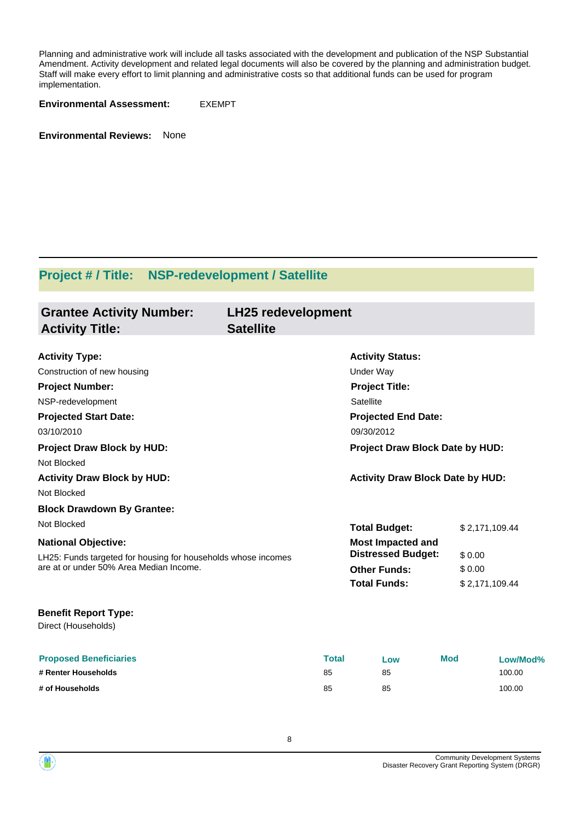Planning and administrative work will include all tasks associated with the development and publication of the NSP Substantial Amendment. Activity development and related legal documents will also be covered by the planning and administration budget. Staff will make every effort to limit planning and administrative costs so that additional funds can be used for program implementation.

**Environmental Assessment:** EXEMPT

**Environmental Reviews:** None

## **Project # / Title: NSP-redevelopment / Satellite**

| <b>Grantee Activity Number:</b><br><b>Activity Title:</b>                                                | <b>LH25 redevelopment</b><br><b>Satellite</b> |              |                                                       |                |                |
|----------------------------------------------------------------------------------------------------------|-----------------------------------------------|--------------|-------------------------------------------------------|----------------|----------------|
| <b>Activity Type:</b>                                                                                    |                                               |              | <b>Activity Status:</b>                               |                |                |
| Construction of new housing                                                                              |                                               | Under Way    |                                                       |                |                |
| <b>Project Number:</b>                                                                                   |                                               |              | <b>Project Title:</b>                                 |                |                |
| NSP-redevelopment                                                                                        |                                               | Satellite    |                                                       |                |                |
| <b>Projected Start Date:</b>                                                                             |                                               |              | <b>Projected End Date:</b>                            |                |                |
| 03/10/2010                                                                                               |                                               | 09/30/2012   |                                                       |                |                |
| <b>Project Draw Block by HUD:</b>                                                                        |                                               |              | Project Draw Block Date by HUD:                       |                |                |
| Not Blocked                                                                                              |                                               |              |                                                       |                |                |
| <b>Activity Draw Block by HUD:</b>                                                                       |                                               |              | <b>Activity Draw Block Date by HUD:</b>               |                |                |
| Not Blocked                                                                                              |                                               |              |                                                       |                |                |
| <b>Block Drawdown By Grantee:</b>                                                                        |                                               |              |                                                       |                |                |
| Not Blocked                                                                                              |                                               |              | <b>Total Budget:</b>                                  |                | \$2,171,109.44 |
| <b>National Objective:</b>                                                                               |                                               |              | <b>Most Impacted and</b><br><b>Distressed Budget:</b> | \$0.00         |                |
| LH25: Funds targeted for housing for households whose incomes<br>are at or under 50% Area Median Income. |                                               |              | <b>Other Funds:</b>                                   | \$0.00         |                |
|                                                                                                          |                                               |              | <b>Total Funds:</b>                                   | \$2,171,109.44 |                |
| <b>Benefit Report Type:</b><br>Direct (Households)                                                       |                                               |              |                                                       |                |                |
| <b>Proposed Beneficiaries</b>                                                                            |                                               | <b>Total</b> | Low                                                   | <b>Mod</b>     | Low/Mod%       |
| # Renter Households                                                                                      | 85                                            |              | 85                                                    |                | 100.00         |
| # of Households                                                                                          | 85                                            |              | 85                                                    |                | 100.00         |

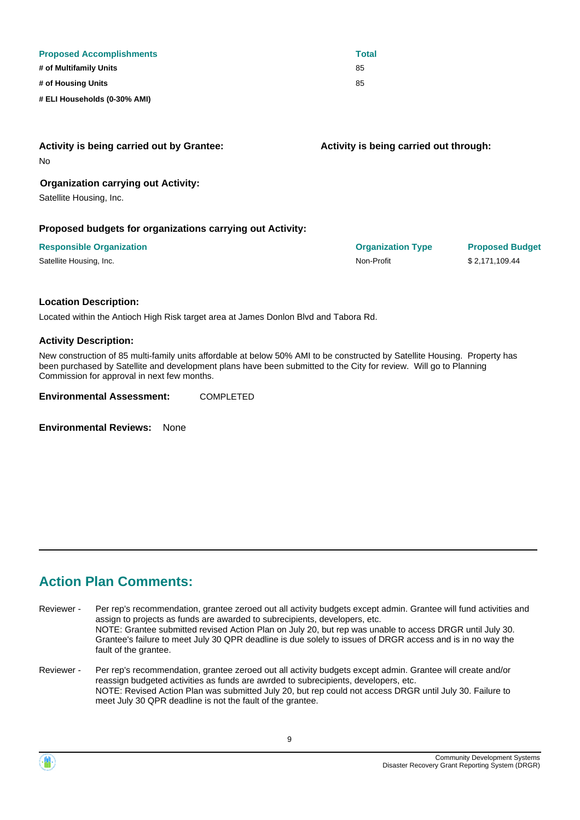| <b>Proposed Accomplishments</b> | <b>Total</b> |
|---------------------------------|--------------|
| # of Multifamily Units          | 85           |
| # of Housing Units              | 85           |
| # ELI Households (0-30% AMI)    |              |

| Activity is being carried out by Grantee:<br><b>No</b>    | Activity is being carried out through: |                        |
|-----------------------------------------------------------|----------------------------------------|------------------------|
| <b>Organization carrying out Activity:</b>                |                                        |                        |
| Satellite Housing, Inc.                                   |                                        |                        |
| Proposed budgets for organizations carrying out Activity: |                                        |                        |
| <b>Responsible Organization</b>                           | <b>Organization Type</b>               | <b>Proposed Budget</b> |
| Satellite Housing, Inc.                                   | Non-Profit                             | \$2,171,109.44         |
| <b>Location Description:</b>                              |                                        |                        |

Located within the Antioch High Risk target area at James Donlon Blvd and Tabora Rd.

**Activity Description:**

New construction of 85 multi-family units affordable at below 50% AMI to be constructed by Satellite Housing. Property has been purchased by Satellite and development plans have been submitted to the City for review. Will go to Planning Commission for approval in next few months.

**Environmental Assessment:** COMPLETED

**Environmental Reviews:** None

### **Action Plan Comments:**

Per rep's recommendation, grantee zeroed out all activity budgets except admin. Grantee will fund activities and assign to projects as funds are awarded to subrecipients, developers, etc. NOTE: Grantee submitted revised Action Plan on July 20, but rep was unable to access DRGR until July 30. Grantee's failure to meet July 30 QPR deadline is due solely to issues of DRGR access and is in no way the fault of the grantee. Reviewer -

Per rep's recommendation, grantee zeroed out all activity budgets except admin. Grantee will create and/or reassign budgeted activities as funds are awrded to subrecipients, developers, etc. NOTE: Revised Action Plan was submitted July 20, but rep could not access DRGR until July 30. Failure to meet July 30 QPR deadline is not the fault of the grantee. Reviewer -

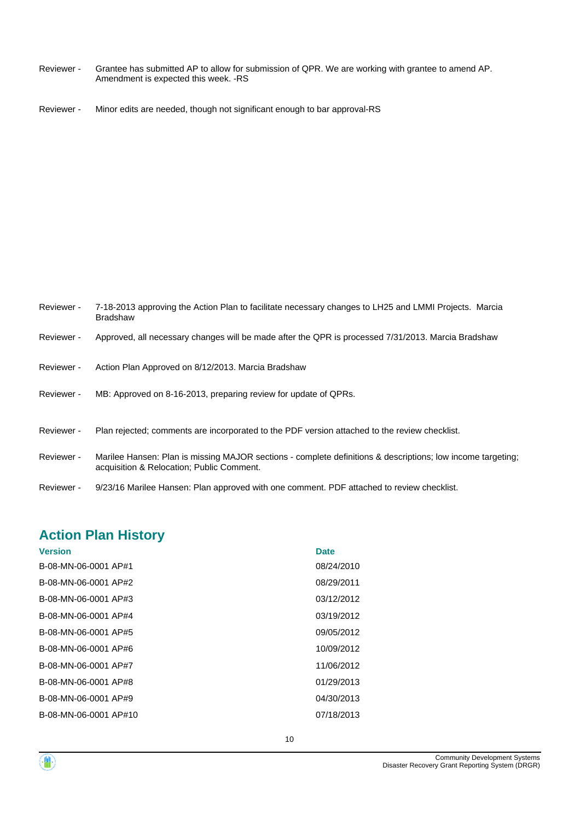- Grantee has submitted AP to allow for submission of QPR. We are working with grantee to amend AP. Amendment is expected this week. -RS Reviewer -
- Reviewer Minor edits are needed, though not significant enough to bar approval-RS

| Reviewer - | 7-18-2013 approving the Action Plan to facilitate necessary changes to LH25 and LMMI Projects. Marcia<br><b>Bradshaw</b>                                 |
|------------|----------------------------------------------------------------------------------------------------------------------------------------------------------|
| Reviewer - | Approved, all necessary changes will be made after the QPR is processed 7/31/2013. Marcia Bradshaw                                                       |
| Reviewer - | Action Plan Approved on 8/12/2013. Marcia Bradshaw                                                                                                       |
| Reviewer - | MB: Approved on 8-16-2013, preparing review for update of QPRs.                                                                                          |
| Reviewer - | Plan rejected; comments are incorporated to the PDF version attached to the review checklist.                                                            |
| Reviewer - | Marilee Hansen: Plan is missing MAJOR sections - complete definitions & descriptions; low income targeting;<br>acquisition & Relocation; Public Comment. |
| Reviewer - | 9/23/16 Marilee Hansen: Plan approved with one comment. PDF attached to review checklist.                                                                |

## **Action Plan History**

| <b>Version</b>        | <b>Date</b> |
|-----------------------|-------------|
| B-08-MN-06-0001 AP#1  | 08/24/2010  |
| B-08-MN-06-0001 AP#2  | 08/29/2011  |
| B-08-MN-06-0001 AP#3  | 03/12/2012  |
| B-08-MN-06-0001 AP#4  | 03/19/2012  |
| B-08-MN-06-0001 AP#5  | 09/05/2012  |
| B-08-MN-06-0001 AP#6  | 10/09/2012  |
| B-08-MN-06-0001 AP#7  | 11/06/2012  |
| B-08-MN-06-0001 AP#8  | 01/29/2013  |
| B-08-MN-06-0001 AP#9  | 04/30/2013  |
| B-08-MN-06-0001 AP#10 | 07/18/2013  |
|                       |             |